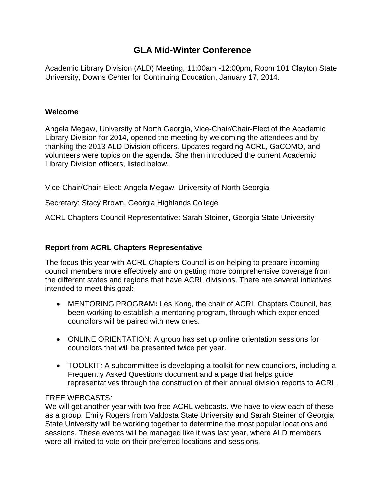# **GLA Mid-Winter Conference**

Academic Library Division (ALD) Meeting, 11:00am -12:00pm, Room 101 Clayton State University, Downs Center for Continuing Education, January 17, 2014.

### **Welcome**

Angela Megaw, University of North Georgia, Vice-Chair/Chair-Elect of the Academic Library Division for 2014, opened the meeting by welcoming the attendees and by thanking the 2013 ALD Division officers. Updates regarding ACRL, GaCOMO, and volunteers were topics on the agenda. She then introduced the current Academic Library Division officers, listed below.

Vice-Chair/Chair-Elect: Angela Megaw, University of North Georgia

Secretary: Stacy Brown, Georgia Highlands College

ACRL Chapters Council Representative: Sarah Steiner, Georgia State University

# **Report from ACRL Chapters Representative**

The focus this year with ACRL Chapters Council is on helping to prepare incoming council members more effectively and on getting more comprehensive coverage from the different states and regions that have ACRL divisions. There are several initiatives intended to meet this goal:

- MENTORING PROGRAM**:** Les Kong, the chair of ACRL Chapters Council, has been working to establish a mentoring program, through which experienced councilors will be paired with new ones.
- ONLINE ORIENTATION: A group has set up online orientation sessions for councilors that will be presented twice per year.
- TOOLKIT*:* A subcommittee is developing a toolkit for new councilors, including a Frequently Asked Questions document and a page that helps guide representatives through the construction of their annual division reports to ACRL.

# FREE WEBCASTS*:*

We will get another year with two free ACRL webcasts. We have to view each of these as a group. Emily Rogers from Valdosta State University and Sarah Steiner of Georgia State University will be working together to determine the most popular locations and sessions. These events will be managed like it was last year, where ALD members were all invited to vote on their preferred locations and sessions.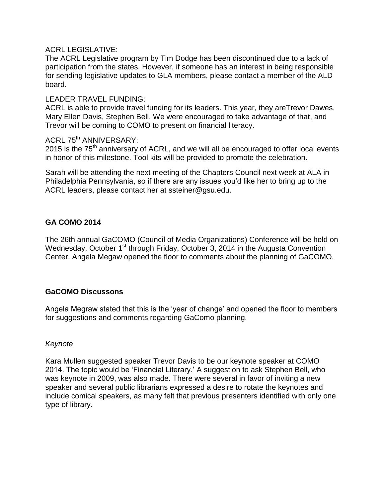# ACRL LEGISLATIVE:

The ACRL Legislative program by Tim Dodge has been discontinued due to a lack of participation from the states. However, if someone has an interest in being responsible for sending legislative updates to GLA members, please contact a member of the ALD board.

#### LEADER TRAVEL FUNDING:

ACRL is able to provide travel funding for its leaders. This year, they areTrevor Dawes, Mary Ellen Davis, Stephen Bell. We were encouraged to take advantage of that, and Trevor will be coming to COMO to present on financial literacy.

# ACRL 75<sup>th</sup> ANNIVERSARY:

2015 is the  $75<sup>th</sup>$  anniversary of ACRL, and we will all be encouraged to offer local events in honor of this milestone. Tool kits will be provided to promote the celebration.

Sarah will be attending the next meeting of the Chapters Council next week at ALA in Philadelphia Pennsylvania, so if there are any issues you'd like her to bring up to the ACRL leaders, please contact her at ssteiner@gsu.edu.

# **GA COMO 2014**

The 26th annual GaCOMO (Council of Media Organizations) Conference will be held on Wednesday, October 1<sup>st</sup> through Friday, October 3, 2014 in the Augusta Convention Center. Angela Megaw opened the floor to comments about the planning of GaCOMO.

# **GaCOMO Discussons**

Angela Megraw stated that this is the 'year of change' and opened the floor to members for suggestions and comments regarding GaComo planning.

#### *Keynote*

Kara Mullen suggested speaker Trevor Davis to be our keynote speaker at COMO 2014. The topic would be 'Financial Literary.' A suggestion to ask Stephen Bell, who was keynote in 2009, was also made. There were several in favor of inviting a new speaker and several public librarians expressed a desire to rotate the keynotes and include comical speakers, as many felt that previous presenters identified with only one type of library.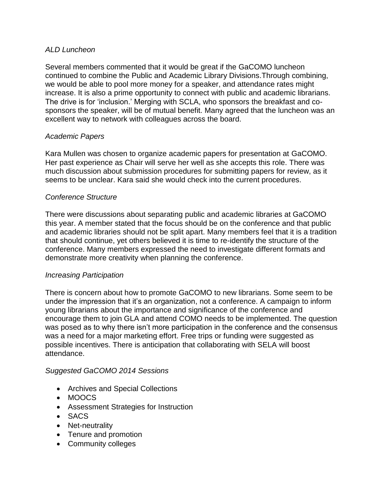# *ALD Luncheon*

Several members commented that it would be great if the GaCOMO luncheon continued to combine the Public and Academic Library Divisions.Through combining, we would be able to pool more money for a speaker, and attendance rates might increase. It is also a prime opportunity to connect with public and academic librarians. The drive is for 'inclusion.' Merging with SCLA, who sponsors the breakfast and cosponsors the speaker, will be of mutual benefit. Many agreed that the luncheon was an excellent way to network with colleagues across the board.

# *Academic Papers*

Kara Mullen was chosen to organize academic papers for presentation at GaCOMO. Her past experience as Chair will serve her well as she accepts this role. There was much discussion about submission procedures for submitting papers for review, as it seems to be unclear. Kara said she would check into the current procedures.

# *Conference Structure*

There were discussions about separating public and academic libraries at GaCOMO this year. A member stated that the focus should be on the conference and that public and academic libraries should not be split apart. Many members feel that it is a tradition that should continue, yet others believed it is time to re-identify the structure of the conference. Many members expressed the need to investigate different formats and demonstrate more creativity when planning the conference.

# *Increasing Participation*

There is concern about how to promote GaCOMO to new librarians. Some seem to be under the impression that it's an organization, not a conference. A campaign to inform young librarians about the importance and significance of the conference and encourage them to join GLA and attend COMO needs to be implemented. The question was posed as to why there isn't more participation in the conference and the consensus was a need for a major marketing effort. Free trips or funding were suggested as possible incentives. There is anticipation that collaborating with SELA will boost attendance.

# *Suggested GaCOMO 2014 Sessions*

- Archives and Special Collections
- MOOCS
- Assessment Strategies for Instruction
- SACS
- Net-neutrality
- Tenure and promotion
- Community colleges